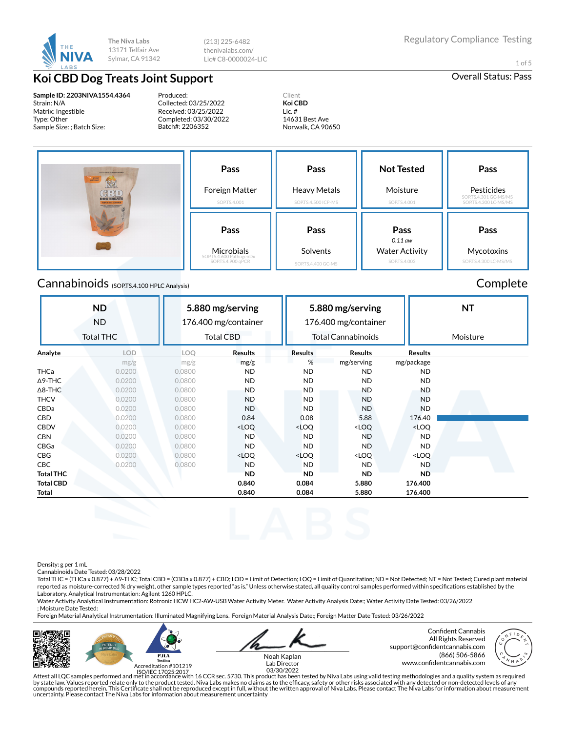

(213) 225-6482 thenivalabs.com/ Lic# C8-0000024-LIC

1 of 5

# **Koi CBD Dog Treats Joint Support CRU** CONSERVING **CRUP Overall Status: Pass**

**Sample ID: 2203NIVA1554.4364** Strain: N/A Matrix: Ingestible Type: Other Sample Size: ; Batch Size:

Produced: Collected: 03/25/2022 Received: 03/25/2022 Completed: 03/30/2022 Batch#: 2206352

Client **Koi CBD** Lic. # 14631 Best Ave Norwalk, CA 90650

| the and dealers to excitence executives<br><b>SUPPORT</b><br>CBO<br><b>DOG TREATS</b><br>THE PERSON TELEVISION CONTROL COMPANY | Pass<br>Foreign Matter<br>SOP.TS.4.001                             | Pass<br><b>Heavy Metals</b><br>SOP.TS.4.500 ICP-MS | <b>Not Tested</b><br>Moisture<br>SOP.TS.4.001              | Pass<br>Pesticides<br>SOP.TS.4.301 GC-MS/MS<br>SOP.TS.4.300 LC-MS/MS |  |
|--------------------------------------------------------------------------------------------------------------------------------|--------------------------------------------------------------------|----------------------------------------------------|------------------------------------------------------------|----------------------------------------------------------------------|--|
|                                                                                                                                | Pass<br>Microbials<br>SOP.TS.4.600 PathogenDx<br>SOP.TS.4.900 qPCR | Pass<br>Solvents<br>SOP.TS.4.400 GC-MS             | Pass<br>$0.11$ aw<br><b>Water Activity</b><br>SOP.TS.4.003 | Pass<br>Mycotoxins<br>SOP.TS.4.300 LC-MS/MS                          |  |

# Cannabinoids (SOP.TS.4.100 HPLC Analysis) Complete

#### **ND** ND Total THC **5.880 mg/serving** 176.400 mg/container Total CBD **5.880 mg/serving** 176.400 mg/container Total Cannabinoids **NT** Moisture **Analyte LOD LOQ Results Results Results Results** mg/g mg/g mg/g % mg/serving mg/package THCa 0.0200 0.0800 ND ND ND ND Δ9-THC 0.0200 0.0800 ND ND ND ND Δ8-THC 0.0200 0.0800 ND ND ND ND THCV 0.0200 0.0800 ND ND ND ND CBDa 0.0200 0.0800 ND ND ND ND **CBD 0.0200 0.0800 0.084 0.08 5.88 176.40** CBDV 0.0200 0.0800 <LOQ <LOQ <LOQ <LOQ CBN 0.0200 0.0800 ND ND ND ND CBGa 0.0200 0.0800 ND ND ND ND CBG 0.0200 0.0800 <LOQ <LOQ <LOQ <LOQ CBC 0.0200 0.0800 ND ND ND ND **Total THC ND ND ND ND Total CBD 0.840 0.084 5.880 176.400 Total 0.840 0.084 5.880 176.400**

Density: g per 1 mL

Cannabinoids Date Tested: 03/28/2022

Total THC = (THCa x 0.877) + Δ9-THC; Total CBD = (CBDa x 0.877) + CBD; LOD = Limit of Detection; LOQ = Limit of Quantitation; ND = Not Detected; NT = Not Tested; Cured plant material reported as moisture-corrected % dry weight, other sample types reported "as is." Unless otherwise stated, all quality control samples performed within specifications established by the Laboratory. Analytical Instrumentation: Agilent 1260 HPLC.

Water Activity Analytical Instrumentation: Rotronic HCW HC2-AW-USB Water Activity Meter. Water Activity Analysis Date:; Water Activity Date Tested: 03/26/2022 ; Moisture Date Tested:

Foreign Material Analytical Instrumentation: Illuminated Magnifying Lens. Foreign Material Analysis Date:; Foreign Matter Date Tested: 03/26/2022





Noah Kaplan

Confident Cannabis All Rights Reserved support@confidentcannabis.com (866) 506-5866



www.con×dentcannabis.com Lab Director 03/30/2022

Attest all LQC samples performed and met in accordance with 16 CCR sec. 5730. This product has been tested by Niva Labs using valid testing methodologies and a quality system as required by state law. Values reported relate only to the product tested. Niva Labs makes no claims as to the efficacy, safety or other risks associated with any detected or non-detected levels of any<br>compounds reported herein. Thi uncertainty. Please contact The Niva Labs for information about measurement uncertainty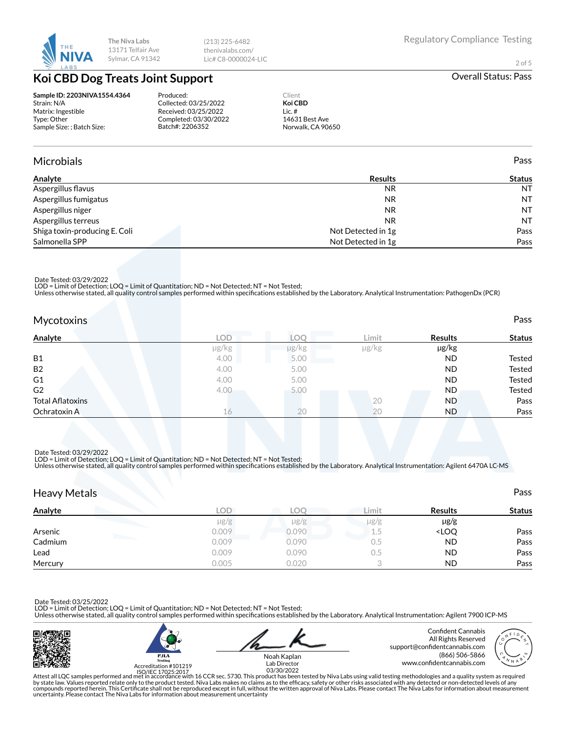

(213) 225-6482 thenivalabs.com/ Lic# C8-0000024-LIC

2 of 5

# **Koi CBD Dog Treats Joint Support** and Communication of the Coveral Status: Pass

### **Sample ID: 2203NIVA1554.4364** Strain: N/A Matrix: Ingestible Type: Other Sample Size: ; Batch Size:

Produced: Collected: 03/25/2022 Received: 03/25/2022 Completed: 03/30/2022 Batch#: 2206352

Client **Koi CBD** Lic. # 14631 Best Ave Norwalk, CA 90650

## Microbials Pass

| Analyte                       | <b>Results</b>     | <b>Status</b> |
|-------------------------------|--------------------|---------------|
| Aspergillus flavus            | <b>NR</b>          | <b>NT</b>     |
| Aspergillus fumigatus         | <b>NR</b>          | NT            |
| Aspergillus niger             | <b>NR</b>          | NT            |
| Aspergillus terreus           | N <sub>R</sub>     | NT            |
| Shiga toxin-producing E. Coli | Not Detected in 1g | Pass          |
| Salmonella SPP                | Not Detected in 1g | Pass          |

Date Tested: 03/29/2022

LOD = Limit of Detection; LOQ = Limit of Quantitation; ND = Not Detected; NT = Not Tested;<br>Unless otherwise stated, all quality control samples performed within specifications established by the Laboratory. Analytical Inst

| <b>Mycotoxins</b>       |            |       |       |                | Pass          |
|-------------------------|------------|-------|-------|----------------|---------------|
| Analyte                 | <b>LOD</b> | LOO.  | Limit | <b>Results</b> | <b>Status</b> |
|                         | µg/kg      | µg/kg | µg/kg | µg/kg          |               |
| <b>B1</b>               | 4.00       | 5.00  |       | <b>ND</b>      | Tested        |
| B <sub>2</sub>          | 4.00       | 5.00  |       | <b>ND</b>      | Tested        |
| G <sub>1</sub>          | 4.00       | 5.00  |       | <b>ND</b>      | Tested        |
| G <sub>2</sub>          | 4.00       | 5.00  |       | <b>ND</b>      | Tested        |
| <b>Total Aflatoxins</b> |            |       | 20    | <b>ND</b>      | Pass          |
| Ochratoxin A            | 16         | 20    | 20    | ND.            | Pass          |

Date Tested: 03/29/2022 LOD = Limit of Detection; LOQ = Limit of Quantitation; ND = Not Detected; NT = Not Tested;

Unless otherwise stated, all quality control samples performed within specifications established by the Laboratory. Analytical Instrumentation: Agilent 6470A LC-MS

| <b>Heavy Metals</b>                          |            |           |           |                                  | Pass          |
|----------------------------------------------|------------|-----------|-----------|----------------------------------|---------------|
| Analyte                                      | <b>LOD</b> | LOO       | Limit     | <b>Results</b>                   | <b>Status</b> |
|                                              | $\mu$ g/g  | $\mu$ g/g | $\mu$ g/g | $\mu$ g/g                        |               |
| Arsenic                                      | 0.009      | 0.090     | 1.5       | <loq< td=""><td>Pass</td></loq<> | Pass          |
| <b>The Company of the Company</b><br>Cadmium | 0.009      | 0.090     | 0.5       | <b>ND</b>                        | Pass          |
| Lead                                         | 0.009      | 0.090     | 0.5       | <b>ND</b>                        | Pass          |
| Mercury                                      | 0.005      | 0.020     |           | <b>ND</b>                        | Pass          |

Date Tested: 03/25/2022 LOD = Limit of Detection; LOQ = Limit of Quantitation; ND = Not Detected; NT = Not Tested;

Unless otherwise stated, all quality control samples performed within specifications established by the Laboratory. Analytical Instrumentation: Agilent 7900 ICP-MS







Noah Kaplan

Attest all LQC samples performed and met in accordance with 16 CCR sec. 5730. This product has been tested by Niva Labs using valid testing methodologies and a quality system as required<br>by state law. Values reported relat uncertainty. Please contact The Niva Labs for information about measurement uncertainty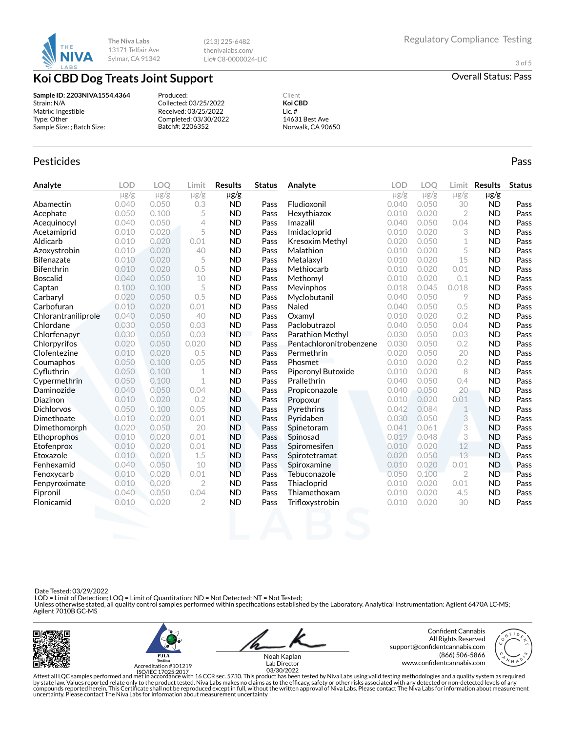

(213) 225-6482 thenivalabs.com/ Lic# C8-0000024-LIC

3 of 5

**Koi CBD Dog Treats Joint Support CONG CRIP CONGREGATE CONGREGATE CONGREGATE CONGREGATE CONGREGATE CONGREGATE** 

### **Sample ID: 2203NIVA1554.4364** Strain: N/A Matrix: Ingestible Type: Other Sample Size: ; Batch Size:

Produced: Collected: 03/25/2022 Received: 03/25/2022 Completed: 03/30/2022 Batch#: 2206352

Client **Koi CBD** Lic. # 14631 Best Ave Norwalk, CA 90650

## Pesticides **Passage Community Community Community** Passes and the extension of the extension of the extension of the extension of the extension of the extension of the extension of the extension of the extension of the ext

| Analyte             | <b>LOD</b> | <b>LOO</b> | Limit          | <b>Results</b> | <b>Status</b> | Analyte                 | <b>LOD</b> | <b>LOO</b> | Limit          | <b>Results</b> | <b>Status</b> |
|---------------------|------------|------------|----------------|----------------|---------------|-------------------------|------------|------------|----------------|----------------|---------------|
|                     | $\mu$ g/g  | $\mu$ g/g  | $\mu$ g/g      | $\mu$ g/g      |               |                         | $\mu$ g/g  | $\mu$ g/g  | $\mu$ g/g      | $\mu$ g/g      |               |
| Abamectin           | 0.040      | 0.050      | 0.3            | <b>ND</b>      | Pass          | Fludioxonil             | 0.040      | 0.050      | 30             | <b>ND</b>      | Pass          |
| Acephate            | 0.050      | 0.100      | 5              | <b>ND</b>      | Pass          | Hexythiazox             | 0.010      | 0.020      | $\overline{2}$ | <b>ND</b>      | Pass          |
| Acequinocyl         | 0.040      | 0.050      | 4              | <b>ND</b>      | Pass          | Imazalil                | 0.040      | 0.050      | 0.04           | <b>ND</b>      | Pass          |
| Acetamiprid         | 0.010      | 0.020      | 5              | <b>ND</b>      | Pass          | Imidacloprid            | 0.010      | 0.020      | 3              | <b>ND</b>      | Pass          |
| Aldicarb            | 0.010      | 0.020      | 0.01           | <b>ND</b>      | Pass          | <b>Kresoxim Methyl</b>  | 0.020      | 0.050      | $\mathbf 1$    | <b>ND</b>      | Pass          |
| Azoxystrobin        | 0.010      | 0.020      | 40             | <b>ND</b>      | Pass          | Malathion               | 0.010      | 0.020      | 5              | <b>ND</b>      | Pass          |
| <b>Bifenazate</b>   | 0.010      | 0.020      | 5              | <b>ND</b>      | Pass          | Metalaxyl               | 0.010      | 0.020      | 15             | <b>ND</b>      | Pass          |
| <b>Bifenthrin</b>   | 0.010      | 0.020      | 0.5            | <b>ND</b>      | Pass          | Methiocarb              | 0.010      | 0.020      | 0.01           | <b>ND</b>      | Pass          |
| <b>Boscalid</b>     | 0.040      | 0.050      | 10             | <b>ND</b>      | Pass          | Methomyl                | 0.010      | 0.020      | 0.1            | <b>ND</b>      | Pass          |
| Captan              | 0.100      | 0.100      | 5              | <b>ND</b>      | Pass          | Mevinphos               | 0.018      | 0.045      | 0.018          | <b>ND</b>      | Pass          |
| Carbaryl            | 0.020      | 0.050      | 0.5            | <b>ND</b>      | Pass          | Myclobutanil            | 0.040      | 0.050      | 9              | <b>ND</b>      | Pass          |
| Carbofuran          | 0.010      | 0.020      | 0.01           | <b>ND</b>      | Pass          | Naled                   | 0.040      | 0.050      | 0.5            | <b>ND</b>      | Pass          |
| Chlorantraniliprole | 0.040      | 0.050      | 40             | <b>ND</b>      | Pass          | Oxamyl                  | 0.010      | 0.020      | 0.2            | <b>ND</b>      | Pass          |
| Chlordane           | 0.030      | 0.050      | 0.03           | <b>ND</b>      | Pass          | Paclobutrazol           | 0.040      | 0.050      | 0.04           | <b>ND</b>      | Pass          |
| Chlorfenapyr        | 0.030      | 0.050      | 0.03           | <b>ND</b>      | Pass          | <b>Parathion Methyl</b> | 0.030      | 0.050      | 0.03           | <b>ND</b>      | Pass          |
| Chlorpyrifos        | 0.020      | 0.050      | 0.020          | <b>ND</b>      | Pass          | Pentachloronitrobenzene | 0.030      | 0.050      | 0.2            | <b>ND</b>      | Pass          |
| Clofentezine        | 0.010      | 0.020      | 0.5            | <b>ND</b>      | Pass          | Permethrin              | 0.020      | 0.050      | 20             | <b>ND</b>      | Pass          |
| Coumaphos           | 0.050      | 0.100      | 0.05           | <b>ND</b>      | Pass          | Phosmet                 | 0.010      | 0.020      | 0.2            | <b>ND</b>      | Pass          |
| Cyfluthrin          | 0.050      | 0.100      | 1              | <b>ND</b>      | Pass          | Piperonyl Butoxide      | 0.010      | 0.020      | 8              | <b>ND</b>      | Pass          |
| Cypermethrin        | 0.050      | 0.100      | $\mathbf 1$    | <b>ND</b>      | Pass          | Prallethrin             | 0.040      | 0.050      | 0.4            | <b>ND</b>      | Pass          |
| Daminozide          | 0.040      | 0.050      | 0.04           | <b>ND</b>      | Pass          | Propiconazole           | 0.040      | 0.050      | 20             | <b>ND</b>      | Pass          |
| Diazinon            | 0.010      | 0.020      | 0.2            | <b>ND</b>      | Pass          | Propoxur                | 0.010      | 0.020      | 0.01           | <b>ND</b>      | Pass          |
| <b>Dichlorvos</b>   | 0.050      | 0.100      | 0.05           | <b>ND</b>      | Pass          | Pyrethrins              | 0.042      | 0.084      | 1              | <b>ND</b>      | Pass          |
| Dimethoate          | 0.010      | 0.020      | 0.01           | <b>ND</b>      | Pass          | Pyridaben               | 0.030      | 0.050      | 3              | <b>ND</b>      | Pass          |
| Dimethomorph        | 0.020      | 0.050      | 20             | <b>ND</b>      | Pass          | Spinetoram              | 0.041      | 0.061      | 3              | <b>ND</b>      | Pass          |
| Ethoprophos         | 0.010      | 0.020      | 0.01           | <b>ND</b>      | Pass          | Spinosad                | 0.019      | 0.048      | 3              | <b>ND</b>      | Pass          |
| Etofenprox          | 0.010      | 0.020      | 0.01           | <b>ND</b>      | Pass          | Spiromesifen            | 0.010      | 0.020      | 12             | <b>ND</b>      | Pass          |
| Etoxazole           | 0.010      | 0.020      | 1.5            | <b>ND</b>      | Pass          | Spirotetramat           | 0.020      | 0.050      | 13             | <b>ND</b>      | Pass          |
| Fenhexamid          | 0.040      | 0.050      | 10             | <b>ND</b>      | Pass          | Spiroxamine             | 0.010      | 0.020      | 0.01           | <b>ND</b>      | Pass          |
| Fenoxycarb          | 0.010      | 0.020      | 0.01           | <b>ND</b>      | Pass          | Tebuconazole            | 0.050      | 0.100      | $\overline{2}$ | <b>ND</b>      | Pass          |
| Fenpyroximate       | 0.010      | 0.020      | $\mathbf{2}$   | <b>ND</b>      | Pass          | Thiacloprid             | 0.010      | 0.020      | 0.01           | <b>ND</b>      | Pass          |
| Fipronil            | 0.040      | 0.050      | 0.04           | <b>ND</b>      | Pass          | Thiamethoxam            | 0.010      | 0.020      | 4.5            | <b>ND</b>      | Pass          |
| Flonicamid          | 0.010      | 0.020      | $\overline{2}$ | <b>ND</b>      | Pass          | Trifloxystrobin         | 0.010      | 0.020      | 30             | <b>ND</b>      | Pass          |
|                     |            |            |                |                |               |                         |            |            |                |                |               |

Date Tested: 03/29/2022

 LOD = Limit of Detection; LOQ = Limit of Quantitation; ND = Not Detected; NT = Not Tested; Unless otherwise stated, all quality control samples performed within specifications established by the Laboratory. Analytical Instrumentation: Agilent 6470A LC-MS;<br>Agilent 7010B GC-MS





Confident Cannabis All Rights Reserved support@confidentcannabis.com (866) 506-5866



www.con×dentcannabis.com Lab Director 03/30/2022Noah Kaplan

Attest all LQC samples performed and met in accordance with 16 CCR sec. 5730. This product has been tested by Niva Labs using valid testing methodologies and a quality system as required<br>by state law. Values reported relat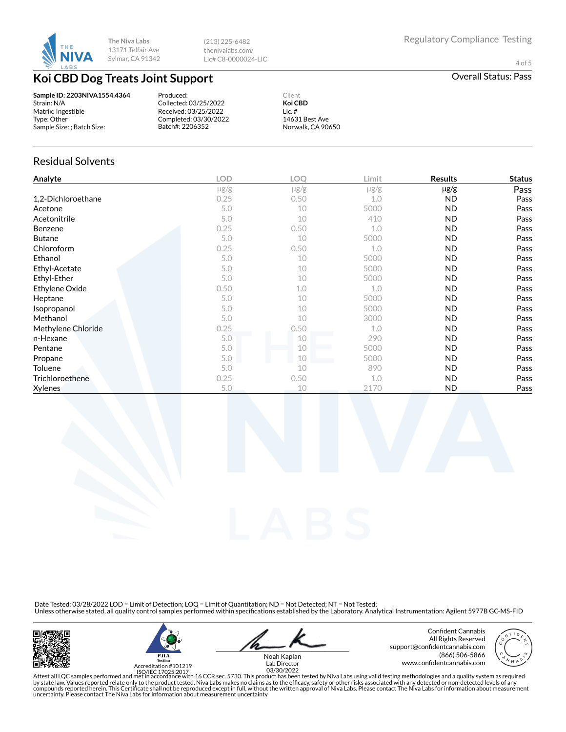

(213) 225-6482 thenivalabs.com/ Lic# C8-0000024-LIC

4 of 5

# **Koi CBD Dog Treats Joint Support CRU** COVER **CONSIDERING CRUP COVER ALL STATES Overall Status: Pass**

**Sample ID: 2203NIVA1554.4364** Strain: N/A Matrix: Ingestible Type: Other Sample Size: ; Batch Size:

Produced: Collected: 03/25/2022 Received: 03/25/2022 Completed: 03/30/2022 Batch#: 2206352

**Koi CBD** Lic. # 14631 Best Ave Norwalk, CA 90650

Client

### Residual Solvents

| Analyte            | <b>LOD</b> | <b>LOO</b> | Limit     | <b>Results</b> | <b>Status</b> |
|--------------------|------------|------------|-----------|----------------|---------------|
|                    | $\mu$ g/g  | $\mu$ g/g  | $\mu$ g/g | $\mu$ g/g      | Pass          |
| 1,2-Dichloroethane | 0.25       | 0.50       | 1.0       | ND             | Pass          |
| Acetone            | 5.0        | 10         | 5000      | <b>ND</b>      | Pass          |
| Acetonitrile       | 5.0        | 10         | 410       | <b>ND</b>      | Pass          |
| Benzene            | 0.25       | 0.50       | 1.0       | <b>ND</b>      | Pass          |
| <b>Butane</b>      | 5.0        | 10         | 5000      | <b>ND</b>      | Pass          |
| Chloroform         | 0.25       | 0.50       | 1.0       | <b>ND</b>      | Pass          |
| Ethanol            | 5.0        | 10         | 5000      | <b>ND</b>      | Pass          |
| Ethyl-Acetate      | 5.0        | 10         | 5000      | <b>ND</b>      | Pass          |
| Ethyl-Ether        | 5.0        | 10         | 5000      | <b>ND</b>      | Pass          |
| Ethylene Oxide     | 0.50       | 1.0        | 1.0       | <b>ND</b>      | Pass          |
| Heptane            | 5.0        | 10         | 5000      | <b>ND</b>      | Pass          |
| Isopropanol        | 5.0        | 10         | 5000      | <b>ND</b>      | Pass          |
| Methanol           | 5.0        | 10         | 3000      | <b>ND</b>      | Pass          |
| Methylene Chloride | 0.25       | 0.50       | 1.0       | <b>ND</b>      | Pass          |
| n-Hexane           | 5.0        | 10         | 290       | <b>ND</b>      | Pass          |
| Pentane            | 5.0        | 10         | 5000      | <b>ND</b>      | Pass          |
| Propane            | 5.0        | 10         | 5000      | <b>ND</b>      | Pass          |
| Toluene            | 5.0        | 10         | 890       | ND             | Pass          |
| Trichloroethene    | 0.25       | 0.50       | 1.0       | <b>ND</b>      | Pass          |
| Xylenes            | 5.0        | 10         | 2170      | <b>ND</b>      | Pass          |

Date Tested: 03/28/2022 LOD = Limit of Detection; LOQ = Limit of Quantitation; ND = Not Detected; NT = Not Tested;<br>Unless otherwise stated, all quality control samples performed within specifications established by the Lab





Noah Kaplan

Confident Cannabis All Rights Reserved support@confidentcannabis.com (866) 506-5866 www.con×dentcannabis.com Lab Director 03/30/2022



Attest all LQC samples performed and met in accordance with 16 CCR sec. 5730. This product has been tested by Niva Labs using valid testing methodologies and a quality system as required<br>by state law. Values reported relat